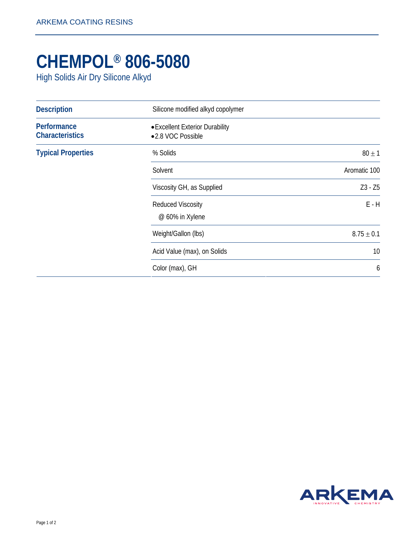## **CHEMPOL® 806-5080**

High Solids Air Dry Silicone Alkyd

| <b>Description</b>                    | Silicone modified alkyd copolymer<br>• Excellent Exterior Durability<br>•2.8 VOC Possible |                |
|---------------------------------------|-------------------------------------------------------------------------------------------|----------------|
| Performance<br><b>Characteristics</b> |                                                                                           |                |
| <b>Typical Properties</b>             | % Solids                                                                                  | $80 \pm 1$     |
|                                       | Solvent                                                                                   | Aromatic 100   |
|                                       | Viscosity GH, as Supplied                                                                 | $Z3 - Z5$      |
|                                       | <b>Reduced Viscosity</b><br>@ 60% in Xylene                                               | $E - H$        |
|                                       | Weight/Gallon (lbs)                                                                       | $8.75 \pm 0.1$ |
|                                       | Acid Value (max), on Solids                                                               | 10             |
|                                       | Color (max), GH                                                                           | 6              |